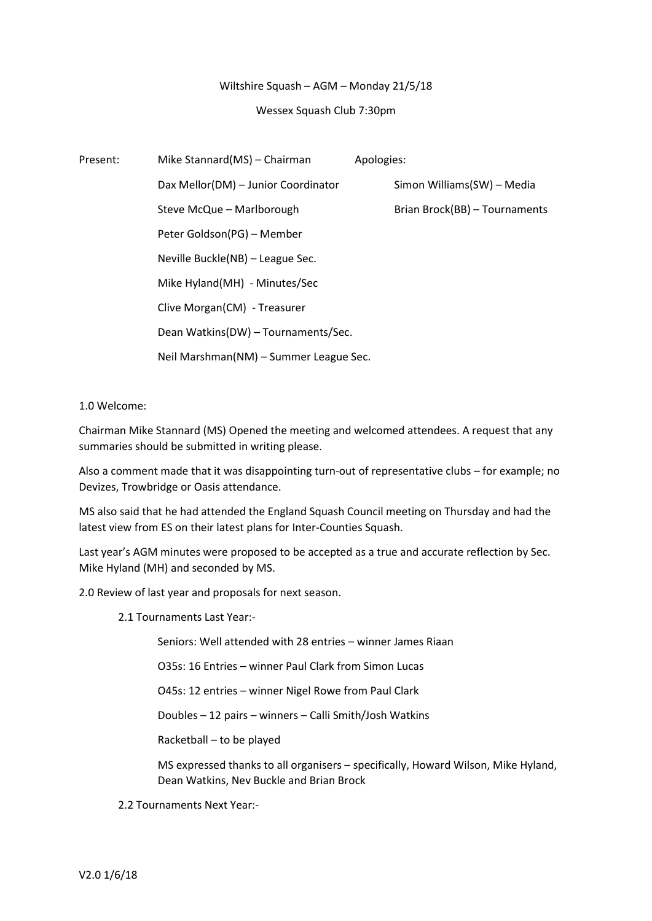## Wiltshire Squash – AGM – Monday 21/5/18

## Wessex Squash Club 7:30pm

| Present: | Mike Stannard(MS) - Chairman           | Apologies:                    |
|----------|----------------------------------------|-------------------------------|
|          | Dax Mellor(DM) - Junior Coordinator    | Simon Williams(SW) - Media    |
|          | Steve McQue - Marlborough              | Brian Brock(BB) - Tournaments |
|          | Peter Goldson(PG) - Member             |                               |
|          | Neville Buckle(NB) - League Sec.       |                               |
|          | Mike Hyland(MH) - Minutes/Sec          |                               |
|          | Clive Morgan(CM) - Treasurer           |                               |
|          | Dean Watkins(DW) - Tournaments/Sec.    |                               |
|          | Neil Marshman(NM) - Summer League Sec. |                               |

# 1.0 Welcome:

Chairman Mike Stannard (MS) Opened the meeting and welcomed attendees. A request that any summaries should be submitted in writing please.

Also a comment made that it was disappointing turn-out of representative clubs – for example; no Devizes, Trowbridge or Oasis attendance.

MS also said that he had attended the England Squash Council meeting on Thursday and had the latest view from ES on their latest plans for Inter-Counties Squash.

Last year's AGM minutes were proposed to be accepted as a true and accurate reflection by Sec. Mike Hyland (MH) and seconded by MS.

2.0 Review of last year and proposals for next season.

2.1 Tournaments Last Year:-

Seniors: Well attended with 28 entries – winner James Riaan

O35s: 16 Entries – winner Paul Clark from Simon Lucas

O45s: 12 entries – winner Nigel Rowe from Paul Clark

Doubles – 12 pairs – winners – Calli Smith/Josh Watkins

Racketball – to be played

MS expressed thanks to all organisers – specifically, Howard Wilson, Mike Hyland, Dean Watkins, Nev Buckle and Brian Brock

2.2 Tournaments Next Year:-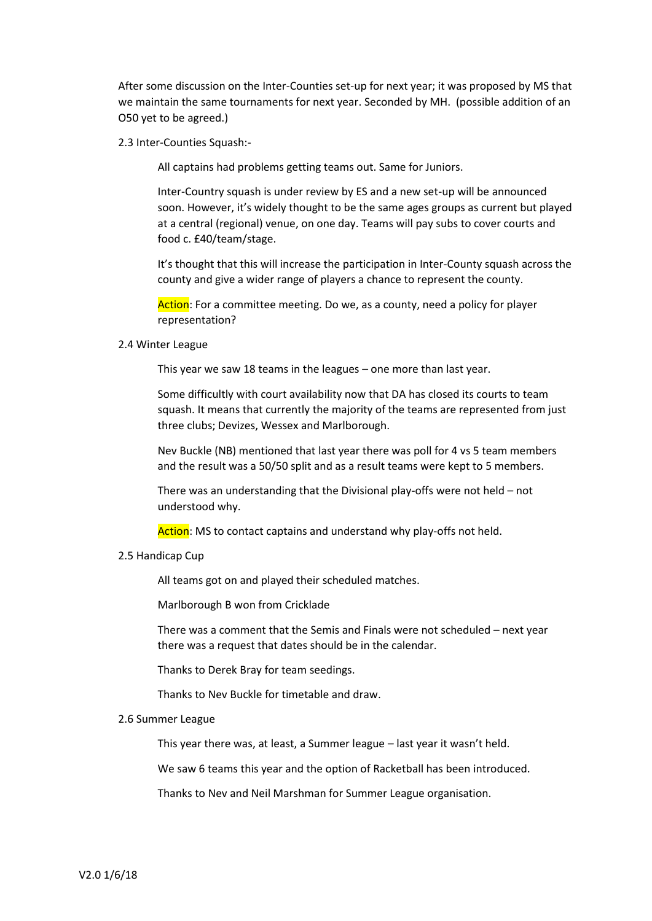After some discussion on the Inter-Counties set-up for next year; it was proposed by MS that we maintain the same tournaments for next year. Seconded by MH. (possible addition of an O50 yet to be agreed.)

2.3 Inter-Counties Squash:-

All captains had problems getting teams out. Same for Juniors.

Inter-Country squash is under review by ES and a new set-up will be announced soon. However, it's widely thought to be the same ages groups as current but played at a central (regional) venue, on one day. Teams will pay subs to cover courts and food c. £40/team/stage.

It's thought that this will increase the participation in Inter-County squash across the county and give a wider range of players a chance to represent the county.

Action: For a committee meeting. Do we, as a county, need a policy for player representation?

## 2.4 Winter League

This year we saw 18 teams in the leagues – one more than last year.

Some difficultly with court availability now that DA has closed its courts to team squash. It means that currently the majority of the teams are represented from just three clubs; Devizes, Wessex and Marlborough.

Nev Buckle (NB) mentioned that last year there was poll for 4 vs 5 team members and the result was a 50/50 split and as a result teams were kept to 5 members.

There was an understanding that the Divisional play-offs were not held – not understood why.

Action: MS to contact captains and understand why play-offs not held.

## 2.5 Handicap Cup

All teams got on and played their scheduled matches.

Marlborough B won from Cricklade

There was a comment that the Semis and Finals were not scheduled – next year there was a request that dates should be in the calendar.

Thanks to Derek Bray for team seedings.

Thanks to Nev Buckle for timetable and draw.

## 2.6 Summer League

This year there was, at least, a Summer league – last year it wasn't held.

We saw 6 teams this year and the option of Racketball has been introduced.

Thanks to Nev and Neil Marshman for Summer League organisation.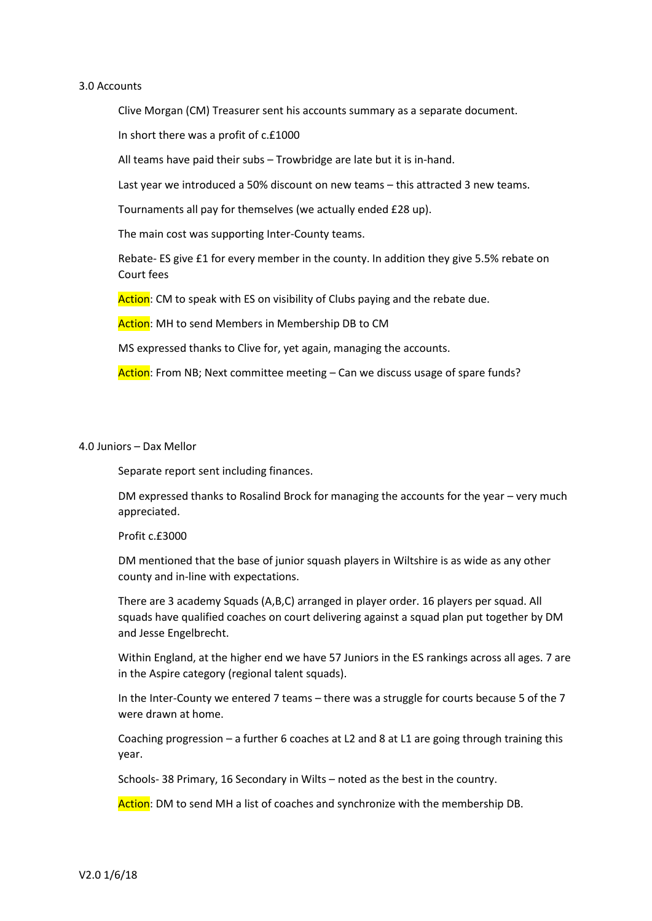## 3.0 Accounts

Clive Morgan (CM) Treasurer sent his accounts summary as a separate document.

In short there was a profit of c.£1000

All teams have paid their subs – Trowbridge are late but it is in-hand.

Last year we introduced a 50% discount on new teams – this attracted 3 new teams.

Tournaments all pay for themselves (we actually ended £28 up).

The main cost was supporting Inter-County teams.

Rebate- ES give £1 for every member in the county. In addition they give 5.5% rebate on Court fees

Action: CM to speak with ES on visibility of Clubs paying and the rebate due.

Action: MH to send Members in Membership DB to CM

MS expressed thanks to Clive for, yet again, managing the accounts.

Action: From NB; Next committee meeting – Can we discuss usage of spare funds?

## 4.0 Juniors – Dax Mellor

Separate report sent including finances.

DM expressed thanks to Rosalind Brock for managing the accounts for the year – very much appreciated.

## Profit c.£3000

DM mentioned that the base of junior squash players in Wiltshire is as wide as any other county and in-line with expectations.

There are 3 academy Squads (A,B,C) arranged in player order. 16 players per squad. All squads have qualified coaches on court delivering against a squad plan put together by DM and Jesse Engelbrecht.

Within England, at the higher end we have 57 Juniors in the ES rankings across all ages. 7 are in the Aspire category (regional talent squads).

In the Inter-County we entered 7 teams – there was a struggle for courts because 5 of the 7 were drawn at home.

Coaching progression – a further 6 coaches at L2 and 8 at L1 are going through training this year.

Schools- 38 Primary, 16 Secondary in Wilts – noted as the best in the country.

Action: DM to send MH a list of coaches and synchronize with the membership DB.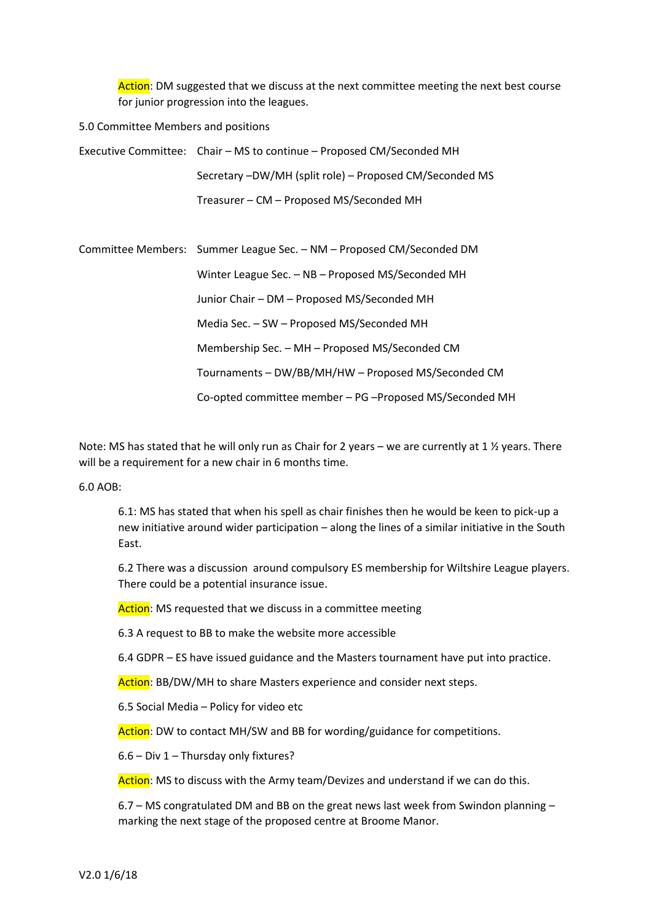Action: DM suggested that we discuss at the next committee meeting the next best course for junior progression into the leagues.

# 5.0 Committee Members and positions

Executive Committee: Chair – MS to continue – Proposed CM/Seconded MH Secretary –DW/MH (split role) – Proposed CM/Seconded MS Treasurer – CM – Proposed MS/Seconded MH

Committee Members: Summer League Sec. – NM – Proposed CM/Seconded DM Winter League Sec. – NB – Proposed MS/Seconded MH Junior Chair – DM – Proposed MS/Seconded MH Media Sec. – SW – Proposed MS/Seconded MH Membership Sec. – MH – Proposed MS/Seconded CM Tournaments – DW/BB/MH/HW – Proposed MS/Seconded CM Co-opted committee member – PG –Proposed MS/Seconded MH

Note: MS has stated that he will only run as Chair for 2 years – we are currently at 1  $\frac{1}{2}$  years. There will be a requirement for a new chair in 6 months time.

6.0 AOB:

6.1: MS has stated that when his spell as chair finishes then he would be keen to pick-up a new initiative around wider participation – along the lines of a similar initiative in the South East.

6.2 There was a discussion around compulsory ES membership for Wiltshire League players. There could be a potential insurance issue.

Action: MS requested that we discuss in a committee meeting

6.3 A request to BB to make the website more accessible

6.4 GDPR – ES have issued guidance and the Masters tournament have put into practice.

Action: BB/DW/MH to share Masters experience and consider next steps.

6.5 Social Media – Policy for video etc

Action: DW to contact MH/SW and BB for wording/guidance for competitions.

6.6 – Div 1 – Thursday only fixtures?

Action: MS to discuss with the Army team/Devizes and understand if we can do this.

6.7 – MS congratulated DM and BB on the great news last week from Swindon planning – marking the next stage of the proposed centre at Broome Manor.